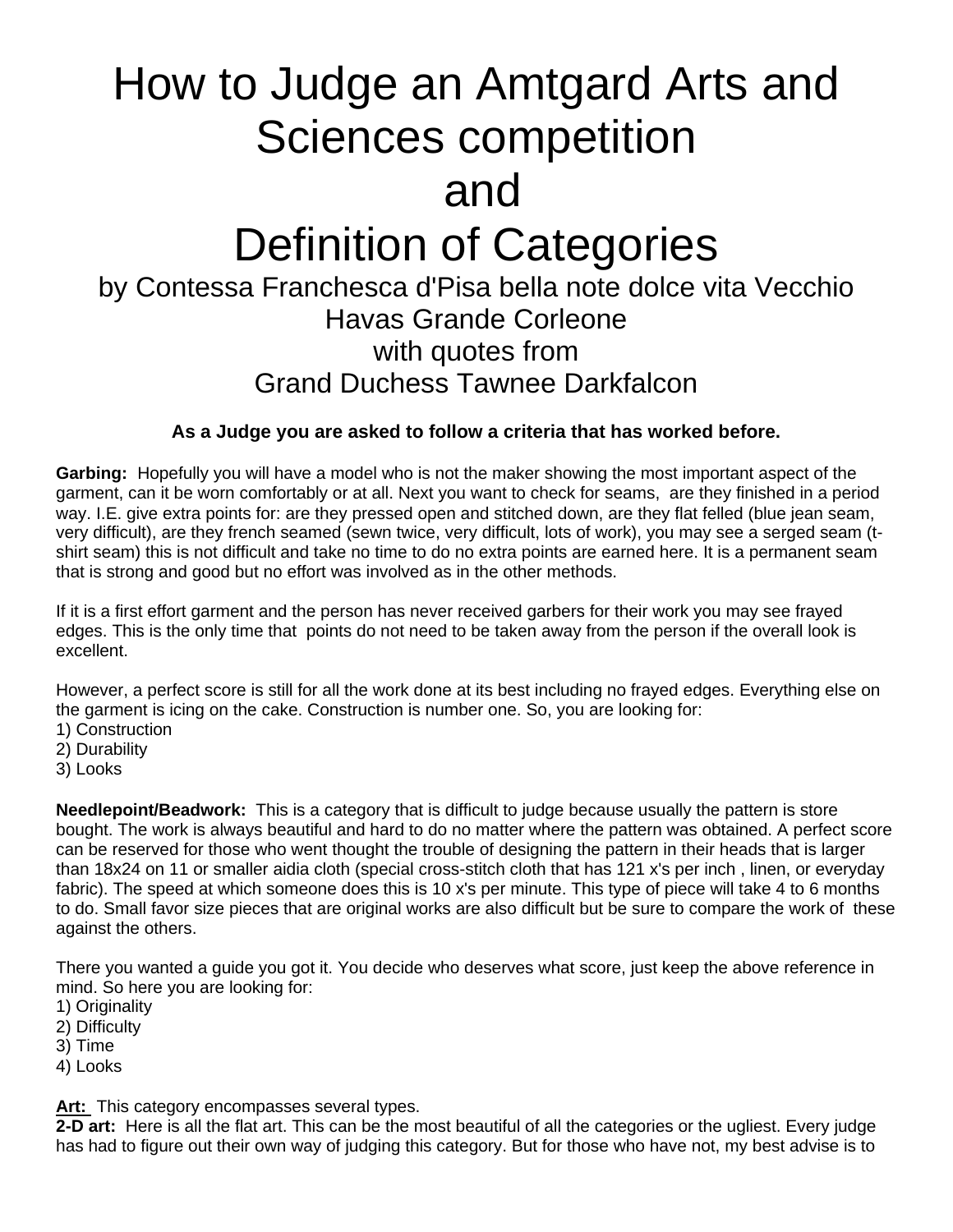## How to Judge an Amtgard Arts and Sciences competition and Definition of Categories by Contessa Franchesca d'Pisa bella note dolce vita Vecchio Havas Grande Corleone with quotes from Grand Duchess Tawnee Darkfalcon

## **As a Judge you are asked to follow a criteria that has worked before.**

**Garbing:** Hopefully you will have a model who is not the maker showing the most important aspect of the garment, can it be worn comfortably or at all. Next you want to check for seams, are they finished in a period way. I.E. give extra points for: are they pressed open and stitched down, are they flat felled (blue jean seam, very difficult), are they french seamed (sewn twice, very difficult, lots of work), you may see a serged seam (tshirt seam) this is not difficult and take no time to do no extra points are earned here. It is a permanent seam that is strong and good but no effort was involved as in the other methods.

If it is a first effort garment and the person has never received garbers for their work you may see frayed edges. This is the only time that points do not need to be taken away from the person if the overall look is excellent.

However, a perfect score is still for all the work done at its best including no frayed edges. Everything else on the garment is icing on the cake. Construction is number one. So, you are looking for:

- 1) Construction
- 2) Durability
- 3) Looks

**Needlepoint/Beadwork:** This is a category that is difficult to judge because usually the pattern is store bought. The work is always beautiful and hard to do no matter where the pattern was obtained. A perfect score can be reserved for those who went thought the trouble of designing the pattern in their heads that is larger than 18x24 on 11 or smaller aidia cloth (special cross-stitch cloth that has 121 x's per inch , linen, or everyday fabric). The speed at which someone does this is 10 x's per minute. This type of piece will take 4 to 6 months to do. Small favor size pieces that are original works are also difficult but be sure to compare the work of these against the others.

There you wanted a guide you got it. You decide who deserves what score, just keep the above reference in mind. So here you are looking for:

- 1) Originality
- 2) Difficulty
- 3) Time
- 4) Looks

**Art:** This category encompasses several types.

**2-D art:** Here is all the flat art. This can be the most beautiful of all the categories or the ugliest. Every judge has had to figure out their own way of judging this category. But for those who have not, my best advise is to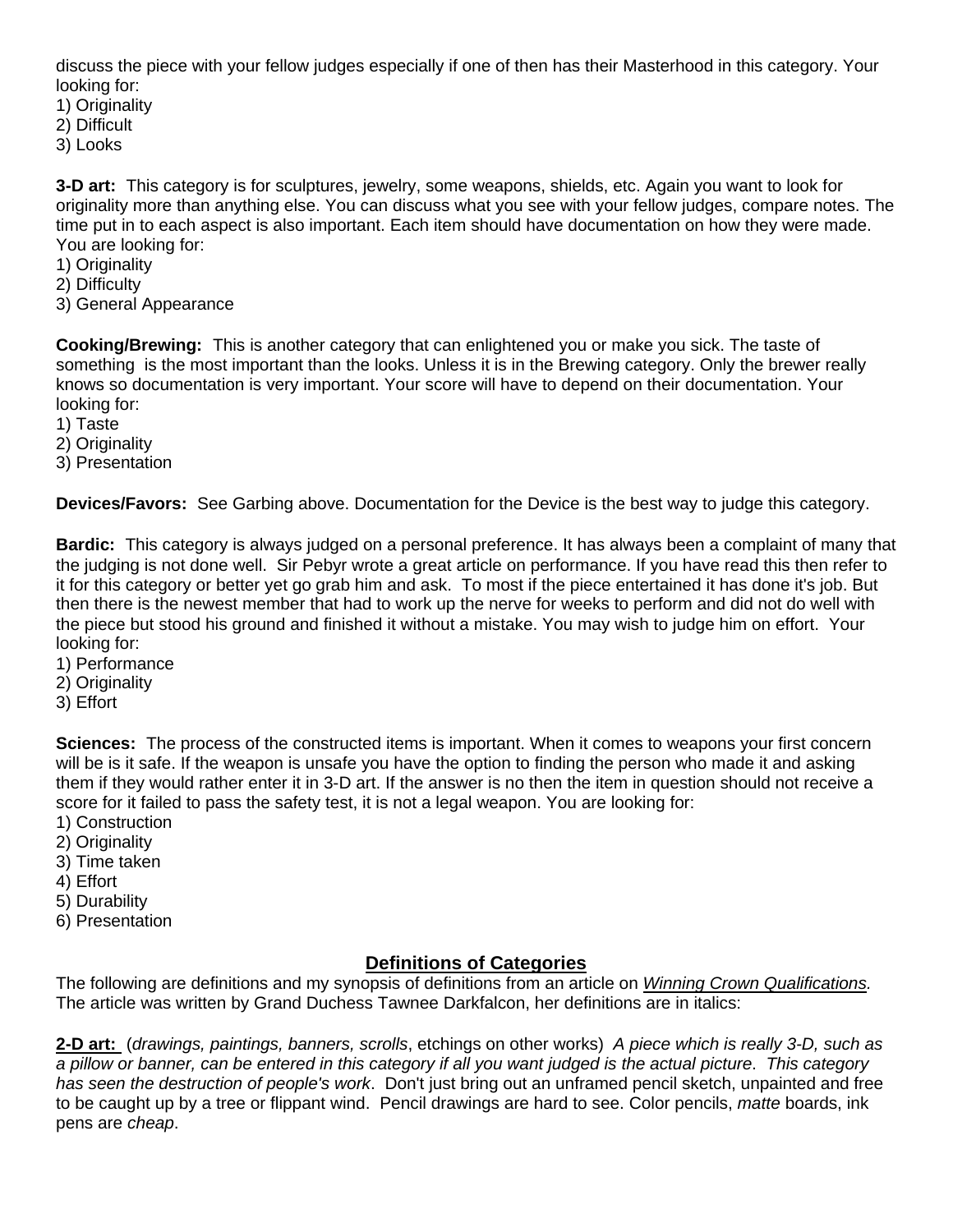discuss the piece with your fellow judges especially if one of then has their Masterhood in this category. Your looking for:

- 1) Originality
- 2) Difficult
- 3) Looks

**3-D art:** This category is for sculptures, jewelry, some weapons, shields, etc. Again you want to look for originality more than anything else. You can discuss what you see with your fellow judges, compare notes. The time put in to each aspect is also important. Each item should have documentation on how they were made. You are looking for:

- 1) Originality
- 2) Difficulty
- 3) General Appearance

**Cooking/Brewing:** This is another category that can enlightened you or make you sick. The taste of something is the most important than the looks. Unless it is in the Brewing category. Only the brewer really knows so documentation is very important. Your score will have to depend on their documentation. Your looking for:

- 1) Taste
- 2) Originality
- 3) Presentation

**Devices/Favors:** See Garbing above. Documentation for the Device is the best way to judge this category.

**Bardic:** This category is always judged on a personal preference. It has always been a complaint of many that the judging is not done well. Sir Pebyr wrote a great article on performance. If you have read this then refer to it for this category or better yet go grab him and ask. To most if the piece entertained it has done it's job. But then there is the newest member that had to work up the nerve for weeks to perform and did not do well with the piece but stood his ground and finished it without a mistake. You may wish to judge him on effort. Your looking for:

- 1) Performance
- 2) Originality
- 3) Effort

**Sciences:** The process of the constructed items is important. When it comes to weapons your first concern will be is it safe. If the weapon is unsafe you have the option to finding the person who made it and asking them if they would rather enter it in 3-D art. If the answer is no then the item in question should not receive a score for it failed to pass the safety test, it is not a legal weapon. You are looking for:

- 1) Construction
- 2) Originality
- 3) Time taken
- 4) Effort
- 5) Durability
- 6) Presentation

## **Definitions of Categories**

The following are definitions and my synopsis of definitions from an article on *Winning Crown Qualifications.* The article was written by Grand Duchess Tawnee Darkfalcon, her definitions are in italics:

**2-D art:** (*drawings, paintings, banners, scrolls*, etchings on other works) *A piece which is really 3-D, such as a pillow or banner, can be entered in this category if all you want judged is the actual picture*. *This category has seen the destruction of people's work*. Don't just bring out an unframed pencil sketch, unpainted and free to be caught up by a tree or flippant wind. Pencil drawings are hard to see. Color pencils, *matte* boards, ink pens are *cheap*.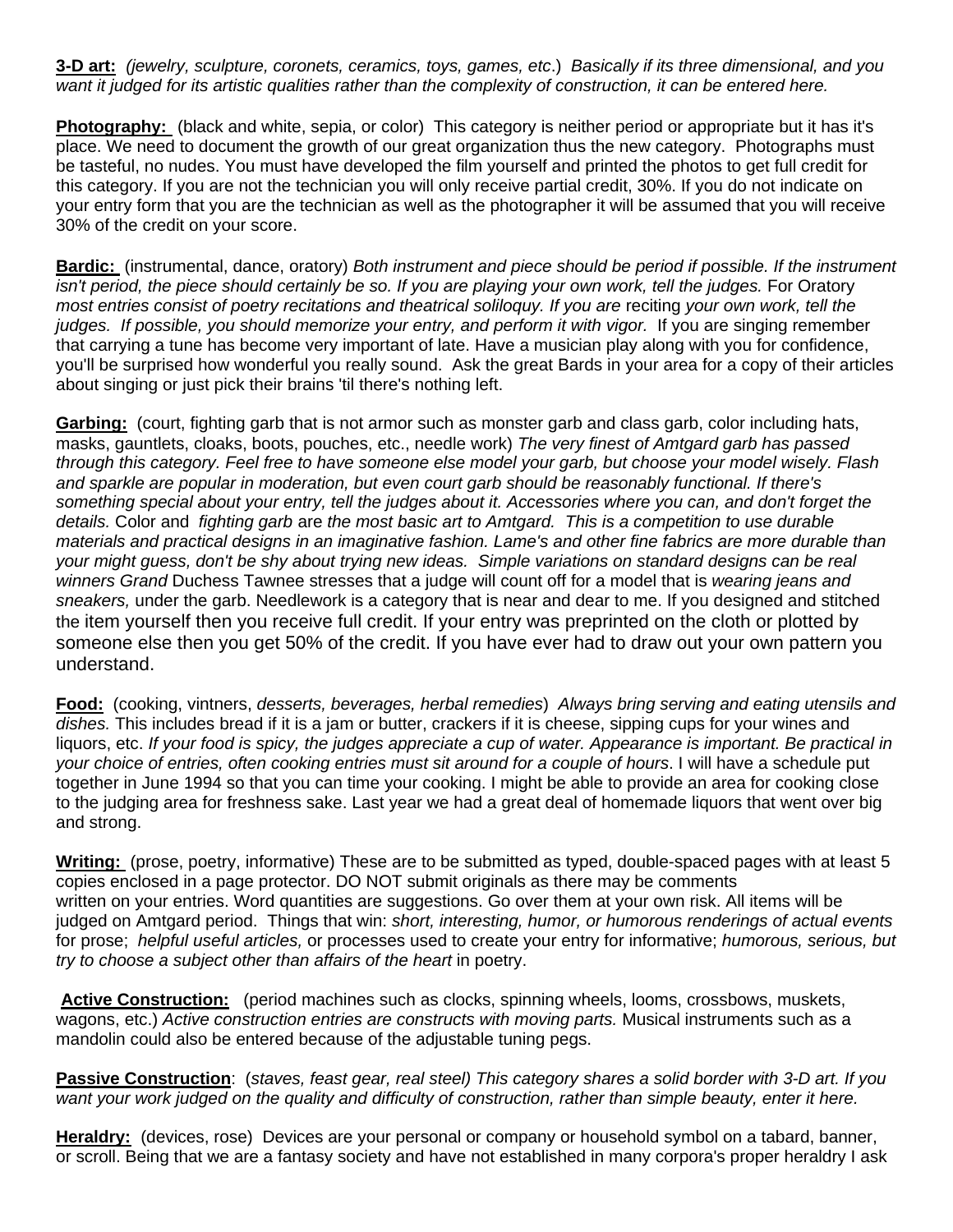**3-D art:** *(jewelry, sculpture, coronets, ceramics, toys, games, etc*.) *Basically if its three dimensional, and you want it judged for its artistic qualities rather than the complexity of construction, it can be entered here.*

**Photography:** (black and white, sepia, or color) This category is neither period or appropriate but it has it's place. We need to document the growth of our great organization thus the new category. Photographs must be tasteful, no nudes. You must have developed the film yourself and printed the photos to get full credit for this category. If you are not the technician you will only receive partial credit, 30%. If you do not indicate on your entry form that you are the technician as well as the photographer it will be assumed that you will receive 30% of the credit on your score.

**Bardic:** (instrumental, dance, oratory) *Both instrument and piece should be period if possible. If the instrument*  isn't period, the piece should certainly be so. If you are playing your own work, tell the judges. For Oratory *most entries consist of poetry recitations and theatrical soliloquy. If you are* reciting *your own work, tell the*  judges. If possible, you should memorize your entry, and perform it with vigor. If you are singing remember that carrying a tune has become very important of late. Have a musician play along with you for confidence, you'll be surprised how wonderful you really sound. Ask the great Bards in your area for a copy of their articles about singing or just pick their brains 'til there's nothing left.

**Garbing:** (court, fighting garb that is not armor such as monster garb and class garb, color including hats, masks, gauntlets, cloaks, boots, pouches, etc., needle work) *The very finest of Amtgard garb has passed through this category. Feel free to have someone else model your garb, but choose your model wisely. Flash and sparkle are popular in moderation, but even court garb should be reasonably functional. If there's something special about your entry, tell the judges about it. Accessories where you can, and don't forget the details.* Color and *fighting garb* are *the most basic art to Amtgard. This is a competition to use durable materials and practical designs in an imaginative fashion. Lame's and other fine fabrics are more durable than your might guess, don't be shy about trying new ideas. Simple variations on standard designs can be real winners Grand* Duchess Tawnee stresses that a judge will count off for a model that is *wearing jeans and sneakers,* under the garb. Needlework is a category that is near and dear to me. If you designed and stitched the item yourself then you receive full credit. If your entry was preprinted on the cloth or plotted by someone else then you get 50% of the credit. If you have ever had to draw out your own pattern you understand.

**Food:** (cooking, vintners, *desserts, beverages, herbal remedies*) *Always bring serving and eating utensils and dishes.* This includes bread if it is a jam or butter, crackers if it is cheese, sipping cups for your wines and liquors, etc. *If your food is spicy, the judges appreciate a cup of water. Appearance is important. Be practical in your choice of entries, often cooking entries must sit around for a couple of hours*. I will have a schedule put together in June 1994 so that you can time your cooking. I might be able to provide an area for cooking close to the judging area for freshness sake. Last year we had a great deal of homemade liquors that went over big and strong.

**Writing:** (prose, poetry, informative) These are to be submitted as typed, double-spaced pages with at least 5 copies enclosed in a page protector. DO NOT submit originals as there may be comments written on your entries. Word quantities are suggestions. Go over them at your own risk. All items will be judged on Amtgard period. Things that win: *short, interesting, humor, or humorous renderings of actual events*  for prose; *helpful useful articles,* or processes used to create your entry for informative; *humorous, serious, but try to choose a subject other than affairs of the heart* in poetry.

**Active Construction:** (period machines such as clocks, spinning wheels, looms, crossbows, muskets, wagons, etc.) *Active construction entries are constructs with moving parts.* Musical instruments such as a mandolin could also be entered because of the adjustable tuning pegs.

**Passive Construction**: (*staves, feast gear, real steel) This category shares a solid border with 3-D art. If you want your work judged on the quality and difficulty of construction, rather than simple beauty, enter it here.*

**Heraldry:** (devices, rose) Devices are your personal or company or household symbol on a tabard, banner, or scroll. Being that we are a fantasy society and have not established in many corpora's proper heraldry I ask